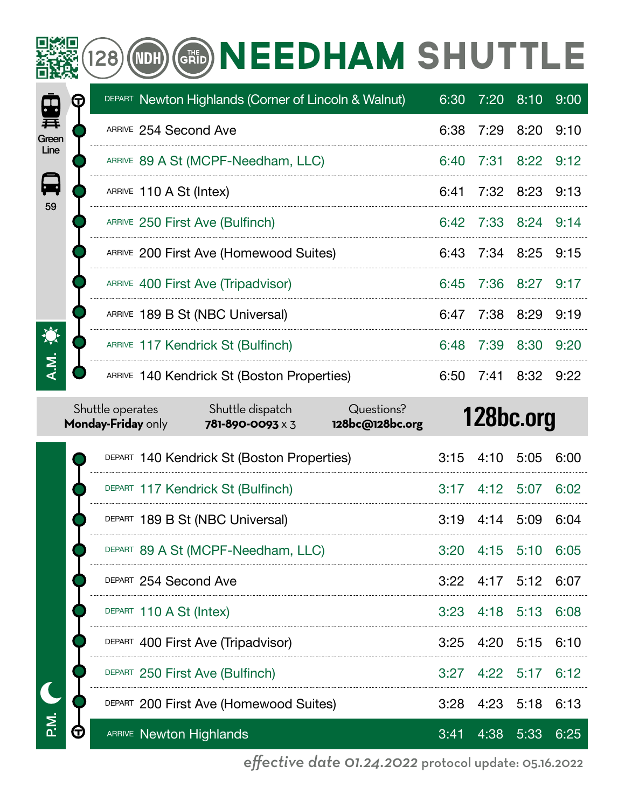# **SEE (28) OD GRID NEEDHAM SHUTTLE**

|                               | T |                    |                         | DEPART Newton Highlands (Corner of Lincoln & Walnut) |                               |      | $6:30$ $7:20$ $8:10$ |           | 9:00 |
|-------------------------------|---|--------------------|-------------------------|------------------------------------------------------|-------------------------------|------|----------------------|-----------|------|
| 弄<br>Green<br>Line<br>日<br>59 |   |                    | ARRIVE 254 Second Ave   |                                                      |                               |      | 6:38 7:29 8:20       |           | 9:10 |
|                               |   |                    |                         | ARRIVE 89 A St (MCPF-Needham, LLC)                   |                               |      | 6:40 7:31 8:22       |           | 9:12 |
|                               |   |                    | ARRIVE 110 A St (Intex) |                                                      |                               | 6:41 | 7:32 8:23            |           | 9:13 |
|                               |   |                    |                         | ARRIVE 250 First Ave (Bulfinch)                      |                               |      | 6:42 7:33 8:24       |           | 9:14 |
|                               |   |                    |                         | ARRIVE 200 First Ave (Homewood Suites)               |                               | 6:43 | 7:34 8:25            |           | 9:15 |
|                               |   |                    |                         | ARRIVE 400 First Ave (Tripadvisor)                   |                               | 6:45 | 7:36 8:27            |           | 9:17 |
|                               |   |                    |                         | ARRIVE 189 B St (NBC Universal)                      |                               | 6:47 | 7:38 8:29            |           | 9:19 |
| 潦                             |   |                    |                         | ARRIVE 117 Kendrick St (Bulfinch)                    |                               | 6:48 | 7:39                 | 8:30      | 9:20 |
| A.M.                          |   |                    |                         | ARRIVE 140 Kendrick St (Boston Properties)           |                               | 6:50 |                      | 7:41 8:32 | 9:22 |
|                               |   | Monday-Friday only | Shuttle operates        | Shuttle dispatch<br>781-890-0093 x 3                 | Questions?<br>128bc@128bc.org |      | 128bc.org            |           |      |
|                               |   |                    |                         | DEPART 140 Kendrick St (Boston Properties)           |                               | 3:15 | 4:10                 | 5:05      | 6:00 |

|   | DEPART 140 Kendrick St (Boston Properties) |  | 3:15 4:10 5:05 6:00         |      |
|---|--------------------------------------------|--|-----------------------------|------|
|   | DEPART 117 Kendrick St (Bulfinch)          |  | 3:17 4:12 5:07 6:02         |      |
|   | DEPART 189 B St (NBC Universal)            |  | 3:19 4:14 5:09 6:04         |      |
|   | DEPART 89 A St (MCPF-Needham, LLC)         |  | 3:20 4:15 5:10 6:05         |      |
|   | DEPART 254 Second Ave                      |  | 3:22 4:17 5:12 6:07         |      |
|   | DEPART 110 A St (Intex)                    |  | 3:23 4:18 5:13 6:08         |      |
|   | DEPART 400 First Ave (Tripadvisor)         |  | 3:25 4:20 5:15 6:10         |      |
|   | DEPART 250 First Ave (Bulfinch)            |  | $3:27$ $4:22$ $5:17$ $6:12$ |      |
|   | DEPART 200 First Ave (Homewood Suites)     |  | 3:28 4:23 5:18 6:13         |      |
| T | <b>ARRIVE Newton Highlands</b>             |  | 3:41 4:38 5:33              | 6:25 |
|   |                                            |  |                             |      |

P.M.

*effective date 01.24.2022* protocol update: 05.16.2022